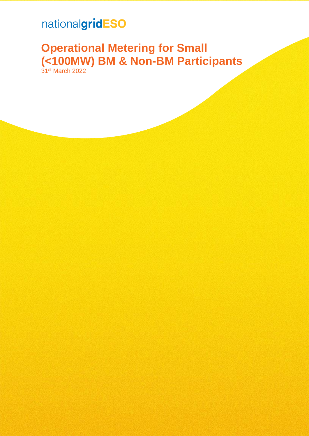## nationalgridESO

## **Operational Metering for Small (<100MW) BM & Non-BM Participants** 31<sup>st</sup> March 2022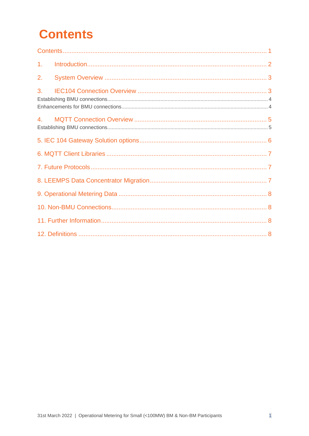# <span id="page-1-0"></span>**Contents**

| 1 <sub>1</sub> |  |
|----------------|--|
| 2.             |  |
| 3.             |  |
| 4.             |  |
|                |  |
|                |  |
|                |  |
|                |  |
|                |  |
|                |  |
|                |  |
|                |  |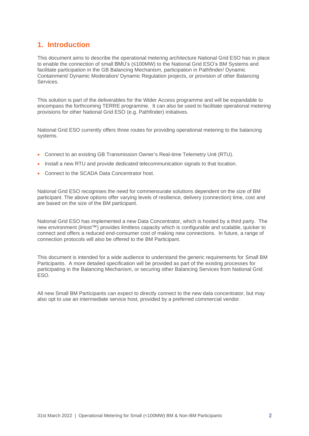## <span id="page-2-0"></span>**1. Introduction**

This document aims to describe the operational metering architecture National Grid ESO has in place to enable the connection of small BMU's (≤100MW) to the National Grid ESO's BM Systems and facilitate participation in the GB Balancing Mechanism, participation in Pathfinder/ Dynamic Containment/ Dynamic Moderation/ Dynamic Regulation projects, or provision of other Balancing Services.

This solution is part of the deliverables for the Wider Access programme and will be expandable to encompass the forthcoming TERRE programme. It can also be used to facilitate operational metering provisions for other National Grid ESO (e.g. Pathfinder) initiatives.

National Grid ESO currently offers three routes for providing operational metering to the balancing systems.

- Connect to an existing GB Transmission Owner's Real-time Telemetry Unit (RTU).
- Install a new RTU and provide dedicated telecommunication signals to that location.
- Connect to the SCADA Data Concentrator host.

National Grid ESO recognises the need for commensurate solutions dependent on the size of BM participant. The above options offer varying levels of resilience, delivery (connection) time, cost and are based on the size of the BM participant.

National Grid ESO has implemented a new Data Concentrator, which is hosted by a third party. The new environment (iHost™) provides limitless capacity which is configurable and scalable, quicker to connect and offers a reduced end-consumer cost of making new connections. In future, a range of connection protocols will also be offered to the BM Participant.

This document is intended for a wide audience to understand the generic requirements for Small BM Participants. A more detailed specification will be provided as part of the existing processes for participating in the Balancing Mechanism, or securing other Balancing Services from National Grid ESO.

All new Small BM Participants can expect to directly connect to the new data concentrator, but may also opt to use an intermediate service host, provided by a preferred commercial vendor.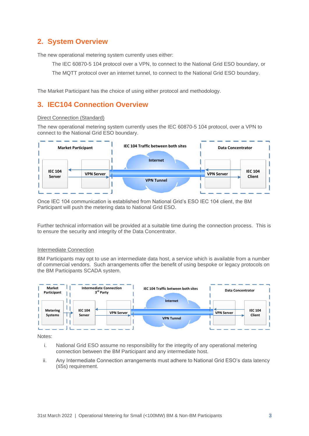## <span id="page-3-0"></span>**2. System Overview**

The new operational metering system currently uses either:

The IEC 60870-5 104 protocol over a VPN, to connect to the National Grid ESO boundary, or

The MQTT protocol over an internet tunnel, to connect to the National Grid ESO boundary.

The Market Participant has the choice of using either protocol and methodology.

## <span id="page-3-1"></span>**3. IEC104 Connection Overview**

#### Direct Connection (Standard)

The new operational metering system currently uses the IEC 60870-5 104 protocol, over a VPN to connect to the National Grid ESO boundary.



Once IEC 104 communication is established from National Grid's ESO IEC 104 client, the BM Participant will push the metering data to National Grid ESO.

Further technical information will be provided at a suitable time during the connection process. This is to ensure the security and integrity of the Data Concentrator.

#### Intermediate Connection

BM Participants may opt to use an intermediate data host, a service which is available from a number of commercial vendors. Such arrangements offer the benefit of using bespoke or legacy protocols on the BM Participants SCADA system.



Notes:

- i. National Grid ESO assume no responsibility for the integrity of any operational metering connection between the BM Participant and any intermediate host.
- ii. Any Intermediate Connection arrangements must adhere to National Grid ESO's data latency (≤5s) requirement.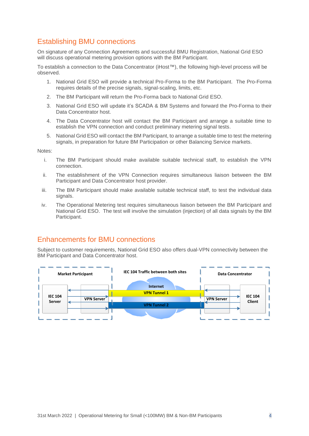## <span id="page-4-0"></span>Establishing BMU connections

On signature of any Connection Agreements and successful BMU Registration, National Grid ESO will discuss operational metering provision options with the BM Participant.

To establish a connection to the Data Concentrator (iHost™), the following high-level process will be observed.

- 1. National Grid ESO will provide a technical Pro-Forma to the BM Participant. The Pro-Forma requires details of the precise signals, signal-scaling, limits, etc.
- 2. The BM Participant will return the Pro-Forma back to National Grid ESO.
- 3. National Grid ESO will update it's SCADA & BM Systems and forward the Pro-Forma to their Data Concentrator host.
- 4. The Data Concentrator host will contact the BM Participant and arrange a suitable time to establish the VPN connection and conduct preliminary metering signal tests.
- 5. National Grid ESO will contact the BM Participant, to arrange a suitable time to test the metering signals, in preparation for future BM Participation or other Balancing Service markets.

Notes:

- i. The BM Participant should make available suitable technical staff, to establish the VPN connection.
- ii. The establishment of the VPN Connection requires simultaneous liaison between the BM Participant and Data Concentrator host provider.
- iii. The BM Participant should make available suitable technical staff, to test the individual data signals.
- iv. The Operational Metering test requires simultaneous liaison between the BM Participant and National Grid ESO. The test will involve the simulation (injection) of all data signals by the BM Participant.

### <span id="page-4-1"></span>Enhancements for BMU connections

Subject to customer requirements, National Grid ESO also offers dual-VPN connectivity between the BM Participant and Data Concentrator host.

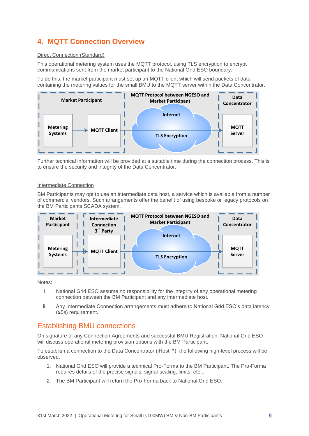## <span id="page-5-0"></span>**4. MQTT Connection Overview**

#### Direct Connection (Standard)

This operational metering system uses the MQTT protocol, using TLS encryption to encrypt communications sent from the market participant to the National Grid ESO boundary.

To do this, the market participant must set up an MQTT client which will send packets of data containing the metering values for the small BMU to the MQTT server within the Data Concentrator.



Further technical information will be provided at a suitable time during the connection process. This is to ensure the security and integrity of the Data Concentrator.

#### Intermediate Connection

BM Participants may opt to use an intermediate data host, a service which is available from a number of commercial vendors. Such arrangements offer the benefit of using bespoke or legacy protocols on the BM Participants SCADA system.



Notes:

- i. National Grid ESO assume no responsibility for the integrity of any operational metering connection between the BM Participant and any intermediate host.
- ii. Any Intermediate Connection arrangements must adhere to National Grid ESO's data latency (≤5s) requirement.

## <span id="page-5-1"></span>Establishing BMU connections

On signature of any Connection Agreements and successful BMU Registration, National Grid ESO will discuss operational metering provision options with the BM Participant.

To establish a connection to the Data Concentrator (iHost™), the following high-level process will be observed.

- 1. National Grid ESO will provide a technical Pro-Forma to the BM Participant. The Pro-Forma requires details of the precise signals, signal-scaling, limits, etc...
- 2. The BM Participant will return the Pro-Forma back to National Grid ESO.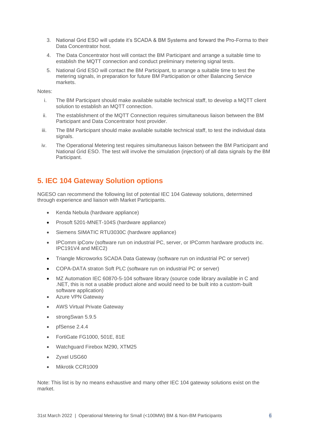- 3. National Grid ESO will update it's SCADA & BM Systems and forward the Pro-Forma to their Data Concentrator host.
- 4. The Data Concentrator host will contact the BM Participant and arrange a suitable time to establish the MQTT connection and conduct preliminary metering signal tests.
- 5. National Grid ESO will contact the BM Participant, to arrange a suitable time to test the metering signals, in preparation for future BM Participation or other Balancing Service markets.

#### Notes:

- i. The BM Participant should make available suitable technical staff, to develop a MQTT client solution to establish an MQTT connection.
- ii. The establishment of the MQTT Connection requires simultaneous liaison between the BM Participant and Data Concentrator host provider.
- iii. The BM Participant should make available suitable technical staff, to test the individual data signals.
- iv. The Operational Metering test requires simultaneous liaison between the BM Participant and National Grid ESO. The test will involve the simulation (injection) of all data signals by the BM Participant.

## <span id="page-6-0"></span>**5. IEC 104 Gateway Solution options**

NGESO can recommend the following list of potential IEC 104 Gateway solutions, determined through experience and liaison with Market Participants.

- Kenda Nebula (hardware appliance)
- Prosoft 5201-MNET-104S (hardware appliance)
- Siemens SIMATIC RTU3030C (hardware appliance)
- IPComm ipConv (software run on industrial PC, server, or IPComm hardware products inc. IPC191V4 and MEC2)
- Triangle Microworks SCADA Data Gateway (software run on industrial PC or server)
- COPA-DATA straton Soft PLC (software run on industrial PC or server)
- MZ Automation IEC 60870-5-104 software library (source code library available in C and .NET, this is not a usable product alone and would need to be built into a custom-built software application)
- Azure VPN Gateway
- AWS Virtual Private Gateway
- strongSwan 5.9.5
- pfSense 2.4.4
- FortiGate FG1000, 501E, 81E
- Watchguard Firebox M290, XTM25
- Zyxel USG60
- Mikrotik CCR1009

Note: This list is by no means exhaustive and many other IEC 104 gateway solutions exist on the market.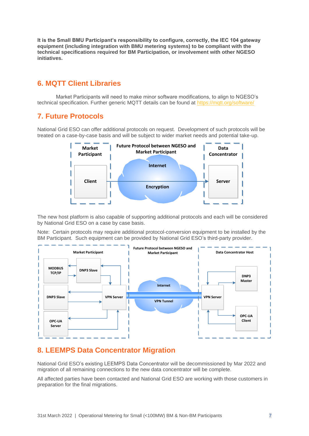**It is the Small BMU Participant's responsibility to configure, correctly, the IEC 104 gateway equipment (including integration with BMU metering systems) to be compliant with the technical specifications required for BM Participation, or involvement with other NGESO initiatives.** 

## <span id="page-7-0"></span>**6. MQTT Client Libraries**

Market Participants will need to make minor software modifications, to align to NGESO's technical specification. Further generic MQTT details can be found at<https://mqtt.org/software/>

## <span id="page-7-1"></span>**7. Future Protocols**

National Grid ESO can offer additional protocols on request. Development of such protocols will be treated on a case-by-case basis and will be subject to wider market needs and potential take-up.



The new host platform is also capable of supporting additional protocols and each will be considered by National Grid ESO on a case by case basis.

Note: Certain protocols may require additional protocol-conversion equipment to be installed by the BM Participant. Such equipment can be provided by National Grid ESO's third-party provider.



## <span id="page-7-2"></span>**8. LEEMPS Data Concentrator Migration**

National Grid ESO's existing LEEMPS Data Concentrator will be decommissioned by Mar 2022 and migration of all remaining connections to the new data concentrator will be complete.

All affected parties have been contacted and National Grid ESO are working with those customers in preparation for the final migrations.